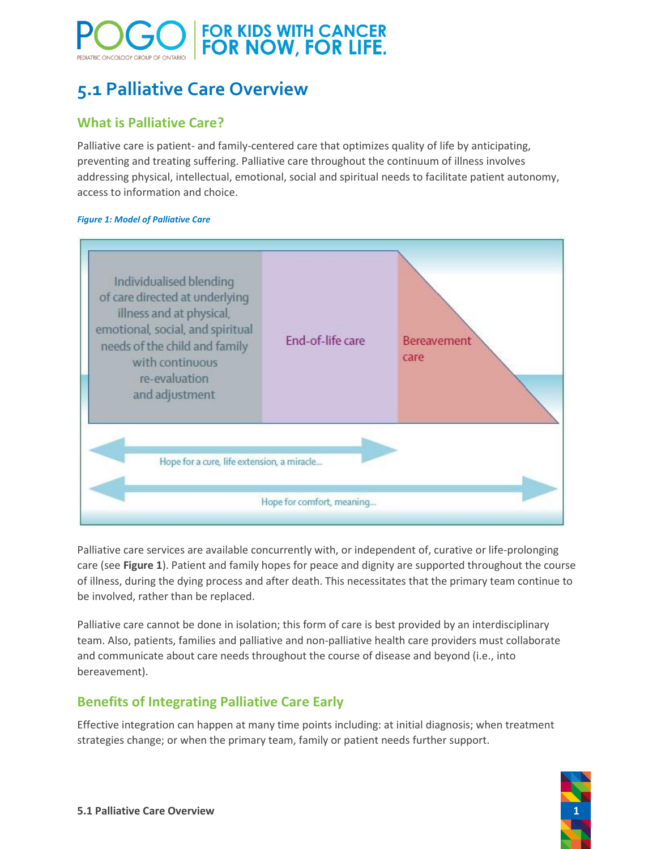# FOR KIDS WITH CANCER<br>FOR NOW, FOR LIFE.

# **5.1 Palliative Care Overview**

# **What is Palliative Care?**

Palliative care is patient- and family-centered care that optimizes quality of life by anticipating, preventing and treating suffering. Palliative care throughout the continuum of illness involves addressing physical, intellectual, emotional, social and spiritual needs to facilitate patient autonomy, access to information and choice.

#### <span id="page-0-0"></span>*Figure 1: Model of Palliative Care*



Palliative care services are available concurrently with, or independent of, curative or life-prolonging care (see **[Figure 1](#page-0-0)**). Patient and family hopes for peace and dignity are supported throughout the course of illness, during the dying process and after death. This necessitates that the primary team continue to be involved, rather than be replaced.

Palliative care cannot be done in isolation; this form of care is best provided by an interdisciplinary team. Also, patients, families and palliative and non-palliative health care providers must collaborate and communicate about care needs throughout the course of disease and beyond (i.e., into bereavement).

## **Benefits of Integrating Palliative Care Early**

Effective integration can happen at many time points including: at initial diagnosis; when treatment strategies change; or when the primary team, family or patient needs further support.

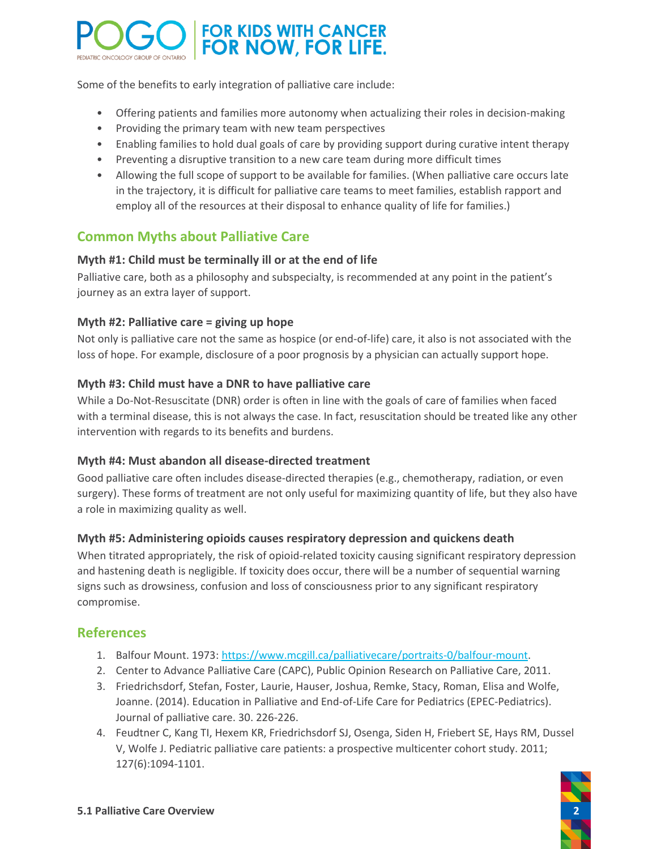

Some of the benefits to early integration of palliative care include:

- Offering patients and families more autonomy when actualizing their roles in decision-making
- Providing the primary team with new team perspectives
- Enabling families to hold dual goals of care by providing support during curative intent therapy
- Preventing a disruptive transition to a new care team during more difficult times
- Allowing the full scope of support to be available for families. (When palliative care occurs late in the trajectory, it is difficult for palliative care teams to meet families, establish rapport and employ all of the resources at their disposal to enhance quality of life for families.)

### **Common Myths about Palliative Care**

#### **Myth #1: Child must be terminally ill or at the end of life**

Palliative care, both as a philosophy and subspecialty, is recommended at any point in the patient's journey as an extra layer of support.

#### **Myth #2: Palliative care = giving up hope**

Not only is palliative care not the same as hospice (or end-of-life) care, it also is not associated with the loss of hope. For example, disclosure of a poor prognosis by a physician can actually support hope.

#### **Myth #3: Child must have a DNR to have palliative care**

While a Do-Not-Resuscitate (DNR) order is often in line with the goals of care of families when faced with a terminal disease, this is not always the case. In fact, resuscitation should be treated like any other intervention with regards to its benefits and burdens.

#### **Myth #4: Must abandon all disease-directed treatment**

Good palliative care often includes disease-directed therapies (e.g., chemotherapy, radiation, or even surgery). These forms of treatment are not only useful for maximizing quantity of life, but they also have a role in maximizing quality as well.

#### **Myth #5: Administering opioids causes respiratory depression and quickens death**

When titrated appropriately, the risk of opioid-related toxicity causing significant respiratory depression and hastening death is negligible. If toxicity does occur, there will be a number of sequential warning signs such as drowsiness, confusion and loss of consciousness prior to any significant respiratory compromise.

#### **References**

- 1. Balfour Mount. 1973[: https://www.mcgill.ca/palliativecare/portraits-0/balfour-mount.](https://www.mcgill.ca/palliativecare/portraits-0/balfour-mount)
- 2. Center to Advance Palliative Care (CAPC), Public Opinion Research on Palliative Care, 2011.
- 3. Friedrichsdorf, Stefan, Foster, Laurie, Hauser, Joshua, Remke, Stacy, Roman, Elisa and Wolfe, Joanne. (2014). Education in Palliative and End-of-Life Care for Pediatrics (EPEC-Pediatrics). Journal of palliative care. 30. 226-226.
- 4. Feudtner C, Kang TI, Hexem KR, Friedrichsdorf SJ, Osenga, Siden H, Friebert SE, Hays RM, Dussel V, Wolfe J. Pediatric palliative care patients: a prospective multicenter cohort study. 2011; 127(6):1094-1101.